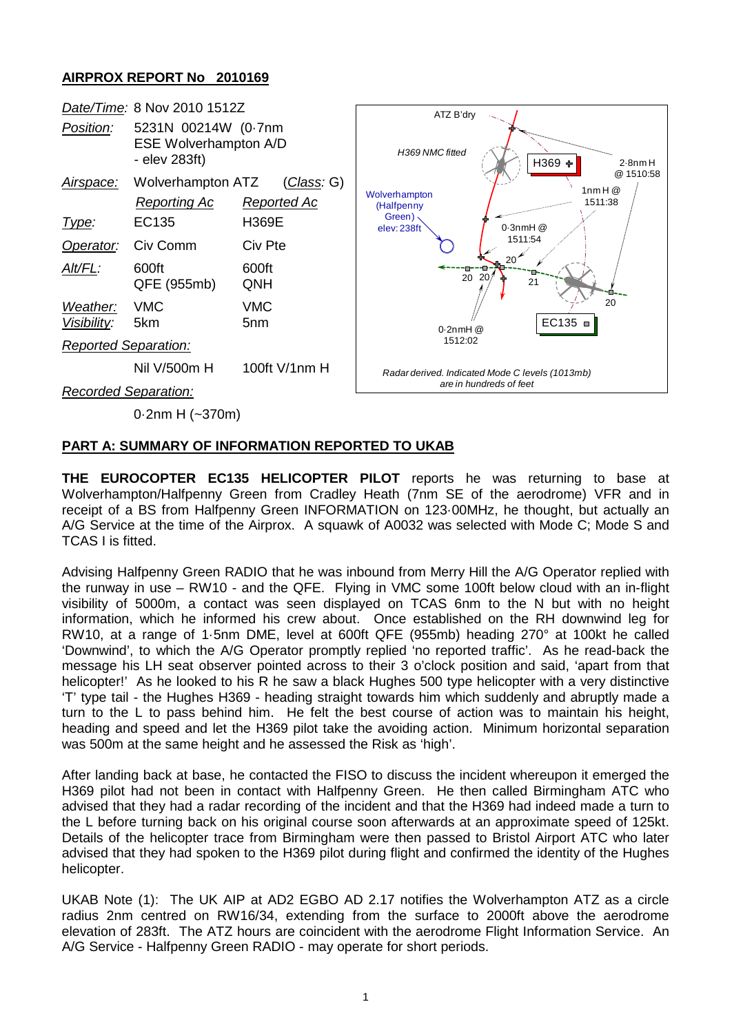### **AIRPROX REPORT No 2010169**



0·2nm H (~370m)

### **PART A: SUMMARY OF INFORMATION REPORTED TO UKAB**

**THE EUROCOPTER EC135 HELICOPTER PILOT** reports he was returning to base at Wolverhampton/Halfpenny Green from Cradley Heath (7nm SE of the aerodrome) VFR and in receipt of a BS from Halfpenny Green INFORMATION on 123·00MHz, he thought, but actually an A/G Service at the time of the Airprox. A squawk of A0032 was selected with Mode C; Mode S and TCAS I is fitted.

Advising Halfpenny Green RADIO that he was inbound from Merry Hill the A/G Operator replied with the runway in use – RW10 - and the QFE. Flying in VMC some 100ft below cloud with an in-flight visibility of 5000m, a contact was seen displayed on TCAS 6nm to the N but with no height information, which he informed his crew about. Once established on the RH downwind leg for RW10, at a range of 1·5nm DME, level at 600ft QFE (955mb) heading 270° at 100kt he called 'Downwind', to which the A/G Operator promptly replied 'no reported traffic'. As he read-back the message his LH seat observer pointed across to their 3 o'clock position and said, 'apart from that helicopter!' As he looked to his R he saw a black Hughes 500 type helicopter with a very distinctive 'T' type tail - the Hughes H369 - heading straight towards him which suddenly and abruptly made a turn to the L to pass behind him. He felt the best course of action was to maintain his height, heading and speed and let the H369 pilot take the avoiding action. Minimum horizontal separation was 500m at the same height and he assessed the Risk as 'high'.

After landing back at base, he contacted the FISO to discuss the incident whereupon it emerged the H369 pilot had not been in contact with Halfpenny Green. He then called Birmingham ATC who advised that they had a radar recording of the incident and that the H369 had indeed made a turn to the L before turning back on his original course soon afterwards at an approximate speed of 125kt. Details of the helicopter trace from Birmingham were then passed to Bristol Airport ATC who later advised that they had spoken to the H369 pilot during flight and confirmed the identity of the Hughes helicopter.

UKAB Note (1): The UK AIP at AD2 EGBO AD 2.17 notifies the Wolverhampton ATZ as a circle radius 2nm centred on RW16/34, extending from the surface to 2000ft above the aerodrome elevation of 283ft. The ATZ hours are coincident with the aerodrome Flight Information Service. An A/G Service - Halfpenny Green RADIO - may operate for short periods.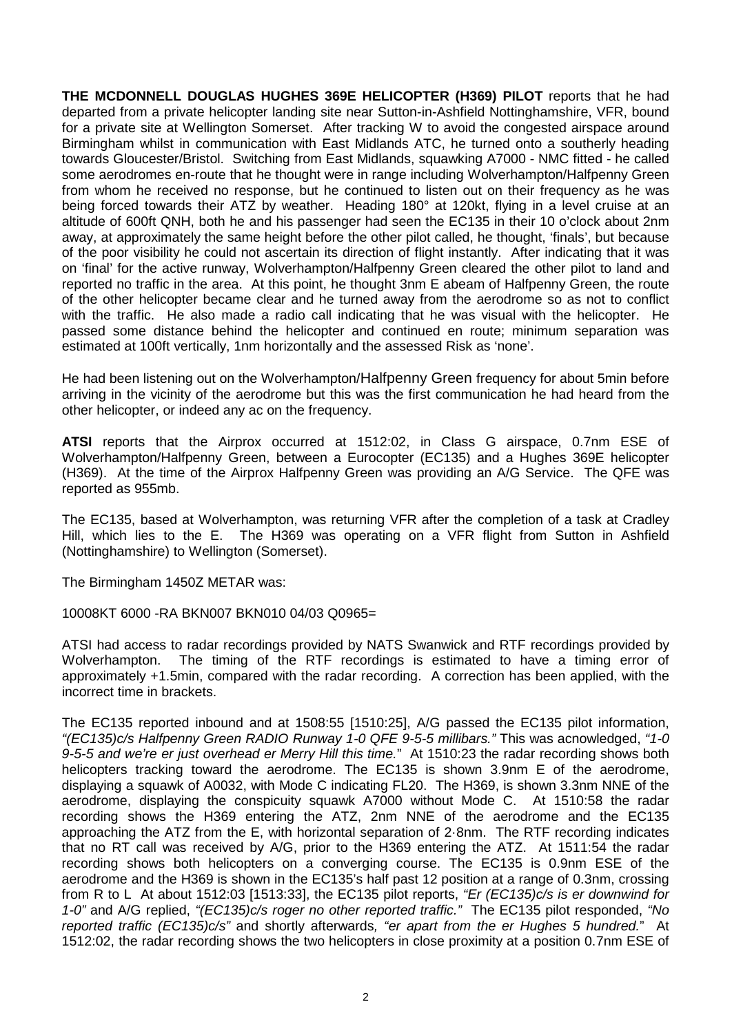**THE MCDONNELL DOUGLAS HUGHES 369E HELICOPTER (H369) PILOT** reports that he had departed from a private helicopter landing site near Sutton-in-Ashfield Nottinghamshire, VFR, bound for a private site at Wellington Somerset. After tracking W to avoid the congested airspace around Birmingham whilst in communication with East Midlands ATC, he turned onto a southerly heading towards Gloucester/Bristol. Switching from East Midlands, squawking A7000 - NMC fitted - he called some aerodromes en-route that he thought were in range including Wolverhampton/Halfpenny Green from whom he received no response, but he continued to listen out on their frequency as he was being forced towards their ATZ by weather. Heading 180° at 120kt, flying in a level cruise at an altitude of 600ft QNH, both he and his passenger had seen the EC135 in their 10 o'clock about 2nm away, at approximately the same height before the other pilot called, he thought, 'finals', but because of the poor visibility he could not ascertain its direction of flight instantly. After indicating that it was on 'final' for the active runway, Wolverhampton/Halfpenny Green cleared the other pilot to land and reported no traffic in the area. At this point, he thought 3nm E abeam of Halfpenny Green, the route of the other helicopter became clear and he turned away from the aerodrome so as not to conflict with the traffic. He also made a radio call indicating that he was visual with the helicopter. He passed some distance behind the helicopter and continued en route; minimum separation was estimated at 100ft vertically, 1nm horizontally and the assessed Risk as 'none'.

He had been listening out on the Wolverhampton/Halfpenny Green frequency for about 5min before arriving in the vicinity of the aerodrome but this was the first communication he had heard from the other helicopter, or indeed any ac on the frequency.

**ATSI** reports that the Airprox occurred at 1512:02, in Class G airspace, 0.7nm ESE of Wolverhampton/Halfpenny Green, between a Eurocopter (EC135) and a Hughes 369E helicopter (H369). At the time of the Airprox Halfpenny Green was providing an A/G Service. The QFE was reported as 955mb.

The EC135, based at Wolverhampton, was returning VFR after the completion of a task at Cradley Hill, which lies to the E. The H369 was operating on a VFR flight from Sutton in Ashfield (Nottinghamshire) to Wellington (Somerset).

The Birmingham 1450Z METAR was:

10008KT 6000 -RA BKN007 BKN010 04/03 Q0965=

ATSI had access to radar recordings provided by NATS Swanwick and RTF recordings provided by Wolverhampton. The timing of the RTF recordings is estimated to have a timing error of approximately +1.5min, compared with the radar recording. A correction has been applied, with the incorrect time in brackets.

The EC135 reported inbound and at 1508:55 [1510:25], A/G passed the EC135 pilot information, *"(EC135)c/s Halfpenny Green RADIO Runway 1-0 QFE 9-5-5 millibars."* This was acnowledged, *"1-0 9-5-5 and we're er just overhead er Merry Hill this time.*" At 1510:23 the radar recording shows both helicopters tracking toward the aerodrome. The EC135 is shown 3.9nm E of the aerodrome, displaying a squawk of A0032, with Mode C indicating FL20. The H369, is shown 3.3nm NNE of the aerodrome, displaying the conspicuity squawk A7000 without Mode C. At 1510:58 the radar recording shows the H369 entering the ATZ, 2nm NNE of the aerodrome and the EC135 approaching the ATZ from the E, with horizontal separation of 2·8nm. The RTF recording indicates that no RT call was received by A/G, prior to the H369 entering the ATZ. At 1511:54 the radar recording shows both helicopters on a converging course. The EC135 is 0.9nm ESE of the aerodrome and the H369 is shown in the EC135's half past 12 position at a range of 0.3nm, crossing from R to L At about 1512:03 [1513:33], the EC135 pilot reports, *"Er (EC135)c/s is er downwind for 1-0"* and A/G replied, *"(EC135)c/s roger no other reported traffic."* The EC135 pilot responded, *"No reported traffic (EC135)c/s"* and shortly afterwards*, "er apart from the er Hughes 5 hundred.*" At 1512:02, the radar recording shows the two helicopters in close proximity at a position 0.7nm ESE of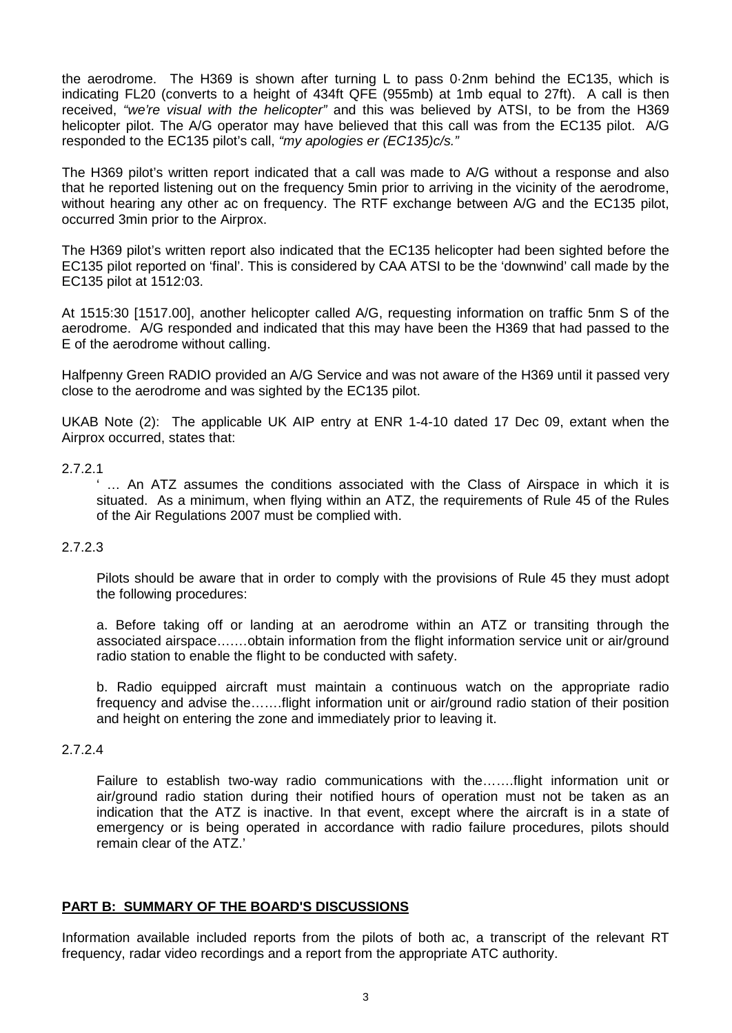the aerodrome. The H369 is shown after turning L to pass 0·2nm behind the EC135, which is indicating FL20 (converts to a height of 434ft QFE (955mb) at 1mb equal to 27ft). A call is then received, *"we're visual with the helicopter"* and this was believed by ATSI, to be from the H369 helicopter pilot. The A/G operator may have believed that this call was from the EC135 pilot. A/G responded to the EC135 pilot's call, *"my apologies er (EC135)c/s."* 

The H369 pilot's written report indicated that a call was made to A/G without a response and also that he reported listening out on the frequency 5min prior to arriving in the vicinity of the aerodrome, without hearing any other ac on frequency. The RTF exchange between A/G and the EC135 pilot, occurred 3min prior to the Airprox.

The H369 pilot's written report also indicated that the EC135 helicopter had been sighted before the EC135 pilot reported on 'final'. This is considered by CAA ATSI to be the 'downwind' call made by the EC135 pilot at 1512:03.

At 1515:30 [1517.00], another helicopter called A/G, requesting information on traffic 5nm S of the aerodrome. A/G responded and indicated that this may have been the H369 that had passed to the E of the aerodrome without calling.

Halfpenny Green RADIO provided an A/G Service and was not aware of the H369 until it passed very close to the aerodrome and was sighted by the EC135 pilot.

UKAB Note (2): The applicable UK AIP entry at ENR 1-4-10 dated 17 Dec 09, extant when the Airprox occurred, states that:

#### 2.7.2.1

... An ATZ assumes the conditions associated with the Class of Airspace in which it is situated. As a minimum, when flying within an ATZ, the requirements of Rule 45 of the Rules of the Air Regulations 2007 must be complied with.

### 2.7.2.3

Pilots should be aware that in order to comply with the provisions of Rule 45 they must adopt the following procedures:

a. Before taking off or landing at an aerodrome within an ATZ or transiting through the associated airspace….…obtain information from the flight information service unit or air/ground radio station to enable the flight to be conducted with safety.

b. Radio equipped aircraft must maintain a continuous watch on the appropriate radio frequency and advise the…….flight information unit or air/ground radio station of their position and height on entering the zone and immediately prior to leaving it.

### 2.7.2.4

Failure to establish two-way radio communications with the…….flight information unit or air/ground radio station during their notified hours of operation must not be taken as an indication that the ATZ is inactive. In that event, except where the aircraft is in a state of emergency or is being operated in accordance with radio failure procedures, pilots should remain clear of the ATZ.'

# **PART B: SUMMARY OF THE BOARD'S DISCUSSIONS**

Information available included reports from the pilots of both ac, a transcript of the relevant RT frequency, radar video recordings and a report from the appropriate ATC authority.